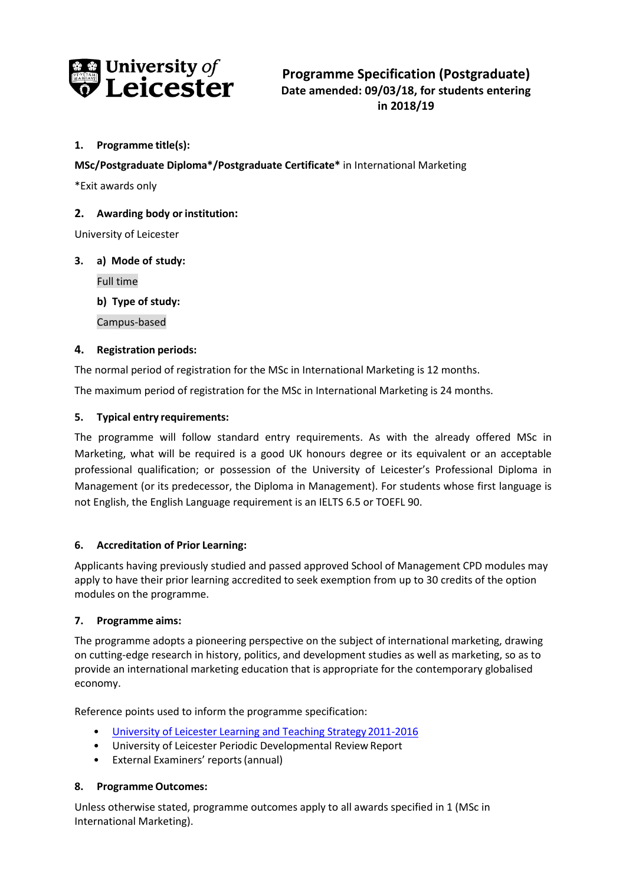

# **1. Programme title(s):**

**MSc/Postgraduate Diploma\*/Postgraduate Certificate\*** in International Marketing

\*Exit awards only

## **2. Awarding body orinstitution:**

University of Leicester

## **3. a) Mode of study:**

Full time

**b) Type of study:**

Campus-based

## **4. Registration periods:**

The normal period of registration for the MSc in International Marketing is 12 months.

The maximum period of registration for the MSc in International Marketing is 24 months.

## **5. Typical entry requirements:**

The programme will follow standard entry requirements. As with the already offered MSc in Marketing, what will be required is a good UK honours degree or its equivalent or an acceptable professional qualification; or possession of the University of Leicester's Professional Diploma in Management (or its predecessor, the Diploma in Management). For students whose first language is not English, the English Language requirement is an IELTS 6.5 or TOEFL 90.

## **6. Accreditation of Prior Learning:**

Applicants having previously studied and passed approved School of Management CPD modules may apply to have their prior learning accredited to seek exemption from up to 30 credits of the option modules on the programme.

## **7. Programme aims:**

The programme adopts a pioneering perspective on the subject of international marketing, drawing on cutting-edge research in history, politics, and development studies as well as marketing, so as to provide an international marketing education that is appropriate for the contemporary globalised economy.

Reference points used to inform the programme specification:

- [University of Leicester Learning and Teaching Strategy2011-2016](http://www2.le.ac.uk/offices/sas2/quality/learnteach)
- University of Leicester Periodic Developmental Review Report
- External Examiners' reports(annual)

## **8. Programme Outcomes:**

Unless otherwise stated, programme outcomes apply to all awards specified in 1 (MSc in International Marketing).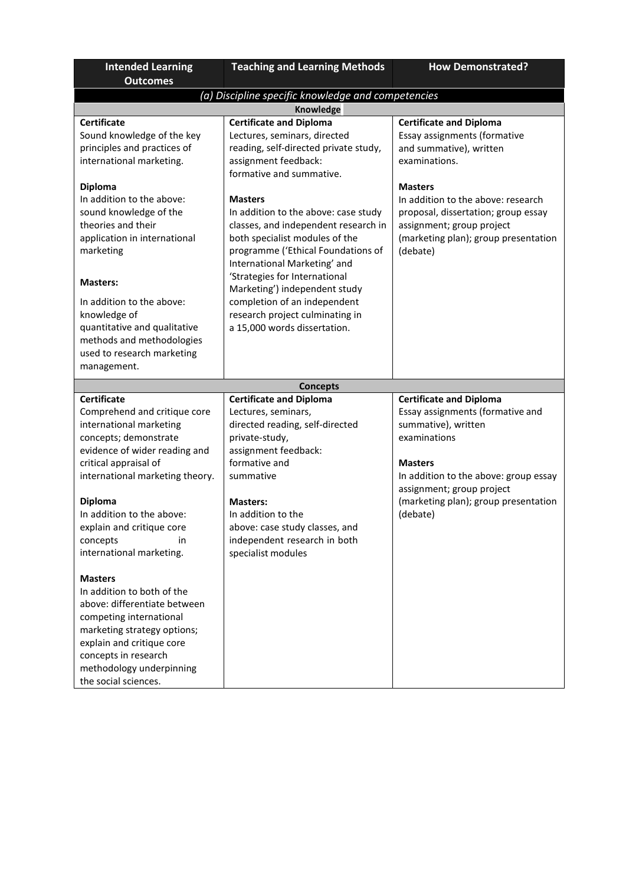| <b>Intended Learning</b>                           | <b>Teaching and Learning Methods</b>  | <b>How Demonstrated?</b>                         |
|----------------------------------------------------|---------------------------------------|--------------------------------------------------|
| <b>Outcomes</b>                                    |                                       |                                                  |
| (a) Discipline specific knowledge and competencies |                                       |                                                  |
|                                                    | Knowledge                             |                                                  |
| <b>Certificate</b>                                 | <b>Certificate and Diploma</b>        | <b>Certificate and Diploma</b>                   |
| Sound knowledge of the key                         | Lectures, seminars, directed          | Essay assignments (formative                     |
| principles and practices of                        | reading, self-directed private study, | and summative), written                          |
| international marketing.                           | assignment feedback:                  | examinations.                                    |
|                                                    | formative and summative.              |                                                  |
| <b>Diploma</b>                                     |                                       | <b>Masters</b>                                   |
| In addition to the above:                          | <b>Masters</b>                        | In addition to the above: research               |
| sound knowledge of the                             | In addition to the above: case study  | proposal, dissertation; group essay              |
| theories and their                                 | classes, and independent research in  | assignment; group project                        |
| application in international                       | both specialist modules of the        | (marketing plan); group presentation             |
| marketing                                          | programme ('Ethical Foundations of    | (debate)                                         |
|                                                    | International Marketing' and          |                                                  |
| <b>Masters:</b>                                    | 'Strategies for International         |                                                  |
|                                                    | Marketing') independent study         |                                                  |
| In addition to the above:                          | completion of an independent          |                                                  |
| knowledge of                                       | research project culminating in       |                                                  |
| quantitative and qualitative                       | a 15,000 words dissertation.          |                                                  |
| methods and methodologies                          |                                       |                                                  |
| used to research marketing                         |                                       |                                                  |
| management.                                        |                                       |                                                  |
|                                                    | <b>Concepts</b>                       |                                                  |
| <b>Certificate</b>                                 | <b>Certificate and Diploma</b>        | <b>Certificate and Diploma</b>                   |
| Comprehend and critique core                       | Lectures, seminars,                   | Essay assignments (formative and                 |
| international marketing                            | directed reading, self-directed       | summative), written                              |
| concepts; demonstrate                              | private-study,                        | examinations                                     |
| evidence of wider reading and                      | assignment feedback:                  |                                                  |
| critical appraisal of                              | formative and                         | <b>Masters</b>                                   |
| international marketing theory.                    | summative                             | In addition to the above: group essay            |
|                                                    |                                       | assignment; group project                        |
| <b>Diploma</b><br>In addition to the above:        | <b>Masters:</b><br>In addition to the | (marketing plan); group presentation<br>(debate) |
|                                                    | above: case study classes, and        |                                                  |
| explain and critique core<br>in<br>concepts        | independent research in both          |                                                  |
| international marketing.                           | specialist modules                    |                                                  |
|                                                    |                                       |                                                  |
| <b>Masters</b>                                     |                                       |                                                  |
| In addition to both of the                         |                                       |                                                  |
| above: differentiate between                       |                                       |                                                  |
| competing international                            |                                       |                                                  |
| marketing strategy options;                        |                                       |                                                  |
| explain and critique core                          |                                       |                                                  |
| concepts in research                               |                                       |                                                  |
| methodology underpinning                           |                                       |                                                  |
| the social sciences.                               |                                       |                                                  |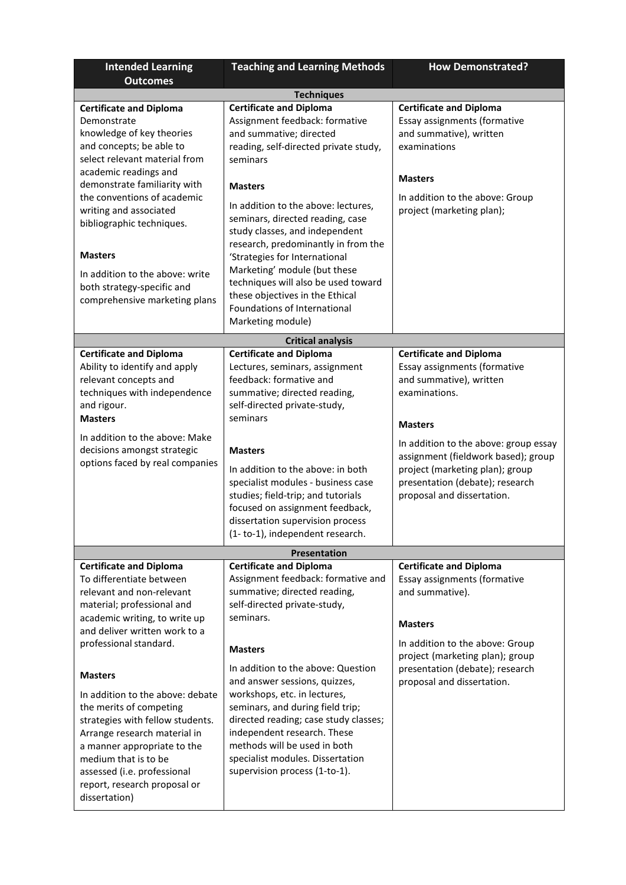| <b>Intended Learning</b>                                                                                                                                                                                                                                                                                                                                                                                                                                                                                      | <b>Teaching and Learning Methods</b>                                                                                                                                                                                                                                                                                                                                                                                                                                                                                   | <b>How Demonstrated?</b>                                                                                                                                                                                                                                                                                         |  |
|---------------------------------------------------------------------------------------------------------------------------------------------------------------------------------------------------------------------------------------------------------------------------------------------------------------------------------------------------------------------------------------------------------------------------------------------------------------------------------------------------------------|------------------------------------------------------------------------------------------------------------------------------------------------------------------------------------------------------------------------------------------------------------------------------------------------------------------------------------------------------------------------------------------------------------------------------------------------------------------------------------------------------------------------|------------------------------------------------------------------------------------------------------------------------------------------------------------------------------------------------------------------------------------------------------------------------------------------------------------------|--|
| <b>Outcomes</b>                                                                                                                                                                                                                                                                                                                                                                                                                                                                                               |                                                                                                                                                                                                                                                                                                                                                                                                                                                                                                                        |                                                                                                                                                                                                                                                                                                                  |  |
| <b>Techniques</b>                                                                                                                                                                                                                                                                                                                                                                                                                                                                                             |                                                                                                                                                                                                                                                                                                                                                                                                                                                                                                                        |                                                                                                                                                                                                                                                                                                                  |  |
| <b>Certificate and Diploma</b><br>Demonstrate<br>knowledge of key theories<br>and concepts; be able to<br>select relevant material from<br>academic readings and<br>demonstrate familiarity with<br>the conventions of academic<br>writing and associated<br>bibliographic techniques.<br><b>Masters</b><br>In addition to the above: write<br>both strategy-specific and<br>comprehensive marketing plans                                                                                                    | <b>Certificate and Diploma</b><br>Assignment feedback: formative<br>and summative; directed<br>reading, self-directed private study,<br>seminars<br><b>Masters</b><br>In addition to the above: lectures,<br>seminars, directed reading, case<br>study classes, and independent<br>research, predominantly in from the<br>'Strategies for International<br>Marketing' module (but these<br>techniques will also be used toward<br>these objectives in the Ethical<br>Foundations of International<br>Marketing module) | <b>Certificate and Diploma</b><br>Essay assignments (formative<br>and summative), written<br>examinations<br><b>Masters</b><br>In addition to the above: Group<br>project (marketing plan);                                                                                                                      |  |
|                                                                                                                                                                                                                                                                                                                                                                                                                                                                                                               | <b>Critical analysis</b>                                                                                                                                                                                                                                                                                                                                                                                                                                                                                               |                                                                                                                                                                                                                                                                                                                  |  |
| <b>Certificate and Diploma</b><br>Ability to identify and apply<br>relevant concepts and<br>techniques with independence<br>and rigour.<br><b>Masters</b><br>In addition to the above: Make<br>decisions amongst strategic<br>options faced by real companies                                                                                                                                                                                                                                                 | <b>Certificate and Diploma</b><br>Lectures, seminars, assignment<br>feedback: formative and<br>summative; directed reading,<br>self-directed private-study,<br>seminars<br><b>Masters</b><br>In addition to the above: in both<br>specialist modules - business case<br>studies; field-trip; and tutorials<br>focused on assignment feedback,<br>dissertation supervision process<br>(1-to-1), independent research.                                                                                                   | <b>Certificate and Diploma</b><br>Essay assignments (formative<br>and summative), written<br>examinations.<br><b>Masters</b><br>In addition to the above: group essay<br>assignment (fieldwork based); group<br>project (marketing plan); group<br>presentation (debate); research<br>proposal and dissertation. |  |
|                                                                                                                                                                                                                                                                                                                                                                                                                                                                                                               | <b>Presentation</b>                                                                                                                                                                                                                                                                                                                                                                                                                                                                                                    |                                                                                                                                                                                                                                                                                                                  |  |
| <b>Certificate and Diploma</b><br>To differentiate between<br>relevant and non-relevant<br>material; professional and<br>academic writing, to write up<br>and deliver written work to a<br>professional standard.<br><b>Masters</b><br>In addition to the above: debate<br>the merits of competing<br>strategies with fellow students.<br>Arrange research material in<br>a manner appropriate to the<br>medium that is to be<br>assessed (i.e. professional<br>report, research proposal or<br>dissertation) | <b>Certificate and Diploma</b><br>Assignment feedback: formative and<br>summative; directed reading,<br>self-directed private-study,<br>seminars.<br><b>Masters</b><br>In addition to the above: Question<br>and answer sessions, quizzes,<br>workshops, etc. in lectures,<br>seminars, and during field trip;<br>directed reading; case study classes;<br>independent research. These<br>methods will be used in both<br>specialist modules. Dissertation<br>supervision process (1-to-1).                            | <b>Certificate and Diploma</b><br>Essay assignments (formative<br>and summative).<br><b>Masters</b><br>In addition to the above: Group<br>project (marketing plan); group<br>presentation (debate); research<br>proposal and dissertation.                                                                       |  |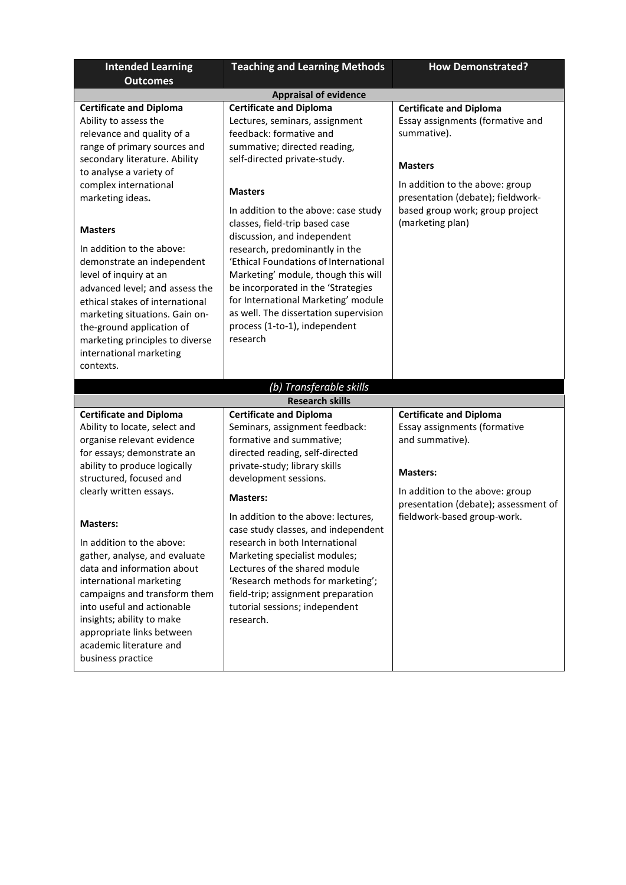| <b>Intended Learning</b><br><b>Outcomes</b>                                                                                                                                                                                                                                                                                                                                                                                                                                                                                                          | <b>Teaching and Learning Methods</b>                                                                                                                                                                                                                                                                                                                                                                                                                                                                                                                                        | <b>How Demonstrated?</b>                                                                                                                                                                                                           |
|------------------------------------------------------------------------------------------------------------------------------------------------------------------------------------------------------------------------------------------------------------------------------------------------------------------------------------------------------------------------------------------------------------------------------------------------------------------------------------------------------------------------------------------------------|-----------------------------------------------------------------------------------------------------------------------------------------------------------------------------------------------------------------------------------------------------------------------------------------------------------------------------------------------------------------------------------------------------------------------------------------------------------------------------------------------------------------------------------------------------------------------------|------------------------------------------------------------------------------------------------------------------------------------------------------------------------------------------------------------------------------------|
|                                                                                                                                                                                                                                                                                                                                                                                                                                                                                                                                                      | <b>Appraisal of evidence</b>                                                                                                                                                                                                                                                                                                                                                                                                                                                                                                                                                |                                                                                                                                                                                                                                    |
| <b>Certificate and Diploma</b><br>Ability to assess the<br>relevance and quality of a<br>range of primary sources and<br>secondary literature. Ability<br>to analyse a variety of<br>complex international<br>marketing ideas.<br><b>Masters</b><br>In addition to the above:<br>demonstrate an independent<br>level of inquiry at an<br>advanced level; and assess the<br>ethical stakes of international<br>marketing situations. Gain on-<br>the-ground application of<br>marketing principles to diverse<br>international marketing<br>contexts. | <b>Certificate and Diploma</b><br>Lectures, seminars, assignment<br>feedback: formative and<br>summative; directed reading,<br>self-directed private-study.<br><b>Masters</b><br>In addition to the above: case study<br>classes, field-trip based case<br>discussion, and independent<br>research, predominantly in the<br>'Ethical Foundations of International<br>Marketing' module, though this will<br>be incorporated in the 'Strategies<br>for International Marketing' module<br>as well. The dissertation supervision<br>process (1-to-1), independent<br>research | <b>Certificate and Diploma</b><br>Essay assignments (formative and<br>summative).<br><b>Masters</b><br>In addition to the above: group<br>presentation (debate); fieldwork-<br>based group work; group project<br>(marketing plan) |
|                                                                                                                                                                                                                                                                                                                                                                                                                                                                                                                                                      | (b) Transferable skills                                                                                                                                                                                                                                                                                                                                                                                                                                                                                                                                                     |                                                                                                                                                                                                                                    |
|                                                                                                                                                                                                                                                                                                                                                                                                                                                                                                                                                      | <b>Research skills</b>                                                                                                                                                                                                                                                                                                                                                                                                                                                                                                                                                      |                                                                                                                                                                                                                                    |
| <b>Certificate and Diploma</b><br>Ability to locate, select and<br>organise relevant evidence<br>for essays; demonstrate an<br>ability to produce logically<br>structured, focused and<br>clearly written essays.<br><b>Masters:</b><br>In addition to the above:<br>gather, analyse, and evaluate<br>data and information about<br>international marketing<br>campaigns and transform them<br>into useful and actionable<br>insights; ability to make<br>appropriate links between<br>academic literature and<br>business practice                  | <b>Certificate and Diploma</b><br>Seminars, assignment feedback:<br>formative and summative;<br>directed reading, self-directed<br>private-study; library skills<br>development sessions.<br><b>Masters:</b><br>In addition to the above: lectures,<br>case study classes, and independent<br>research in both International<br>Marketing specialist modules;<br>Lectures of the shared module<br>'Research methods for marketing';<br>field-trip; assignment preparation<br>tutorial sessions; independent<br>research.                                                    | <b>Certificate and Diploma</b><br>Essay assignments (formative<br>and summative).<br><b>Masters:</b><br>In addition to the above: group<br>presentation (debate); assessment of<br>fieldwork-based group-work.                     |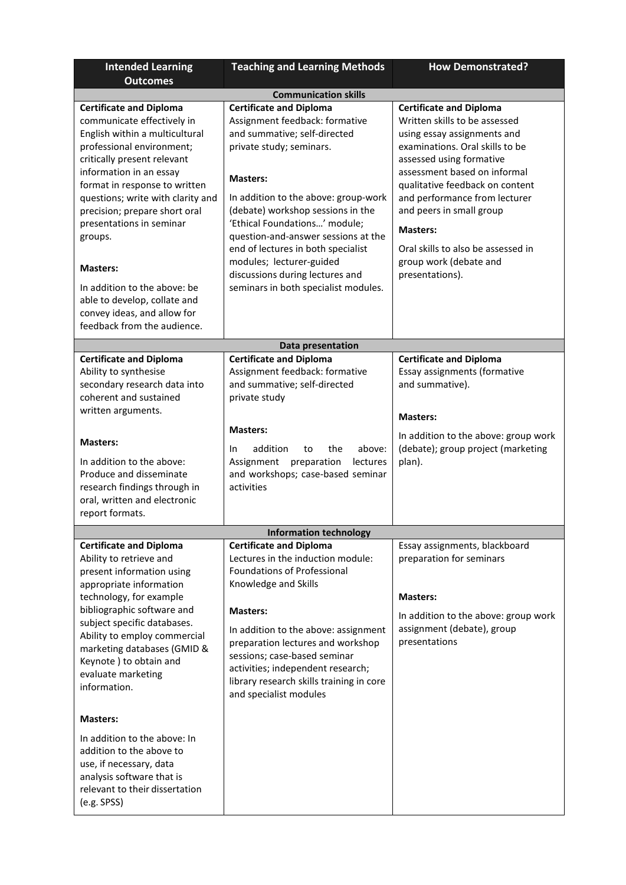| <b>Intended Learning</b>                                                                                                                                                                                                                                                                                                                                                                                                                                                             | <b>Teaching and Learning Methods</b>                                                                                                                                                                                                                                                                                                                                                                                                              | <b>How Demonstrated?</b>                                                                                                                                                                                                                                                                                                                                                                            |  |
|--------------------------------------------------------------------------------------------------------------------------------------------------------------------------------------------------------------------------------------------------------------------------------------------------------------------------------------------------------------------------------------------------------------------------------------------------------------------------------------|---------------------------------------------------------------------------------------------------------------------------------------------------------------------------------------------------------------------------------------------------------------------------------------------------------------------------------------------------------------------------------------------------------------------------------------------------|-----------------------------------------------------------------------------------------------------------------------------------------------------------------------------------------------------------------------------------------------------------------------------------------------------------------------------------------------------------------------------------------------------|--|
| <b>Outcomes</b>                                                                                                                                                                                                                                                                                                                                                                                                                                                                      |                                                                                                                                                                                                                                                                                                                                                                                                                                                   |                                                                                                                                                                                                                                                                                                                                                                                                     |  |
| <b>Communication skills</b>                                                                                                                                                                                                                                                                                                                                                                                                                                                          |                                                                                                                                                                                                                                                                                                                                                                                                                                                   |                                                                                                                                                                                                                                                                                                                                                                                                     |  |
| <b>Certificate and Diploma</b><br>communicate effectively in<br>English within a multicultural<br>professional environment;<br>critically present relevant<br>information in an essay<br>format in response to written<br>questions; write with clarity and<br>precision; prepare short oral<br>presentations in seminar<br>groups.<br><b>Masters:</b><br>In addition to the above: be<br>able to develop, collate and<br>convey ideas, and allow for<br>feedback from the audience. | <b>Certificate and Diploma</b><br>Assignment feedback: formative<br>and summative; self-directed<br>private study; seminars.<br><b>Masters:</b><br>In addition to the above: group-work<br>(debate) workshop sessions in the<br>'Ethical Foundations' module;<br>question-and-answer sessions at the<br>end of lectures in both specialist<br>modules; lecturer-guided<br>discussions during lectures and<br>seminars in both specialist modules. | <b>Certificate and Diploma</b><br>Written skills to be assessed<br>using essay assignments and<br>examinations. Oral skills to be<br>assessed using formative<br>assessment based on informal<br>qualitative feedback on content<br>and performance from lecturer<br>and peers in small group<br><b>Masters:</b><br>Oral skills to also be assessed in<br>group work (debate and<br>presentations). |  |
| Data presentation                                                                                                                                                                                                                                                                                                                                                                                                                                                                    |                                                                                                                                                                                                                                                                                                                                                                                                                                                   |                                                                                                                                                                                                                                                                                                                                                                                                     |  |
| <b>Certificate and Diploma</b><br>Ability to synthesise<br>secondary research data into<br>coherent and sustained<br>written arguments.<br><b>Masters:</b><br>In addition to the above:<br>Produce and disseminate<br>research findings through in<br>oral, written and electronic<br>report formats.                                                                                                                                                                                | <b>Certificate and Diploma</b><br>Assignment feedback: formative<br>and summative; self-directed<br>private study<br><b>Masters:</b><br>addition<br>the<br>above:<br>to<br>In.<br>preparation<br>Assignment<br>lectures<br>and workshops; case-based seminar<br>activities                                                                                                                                                                        | <b>Certificate and Diploma</b><br>Essay assignments (formative<br>and summative).<br><b>Masters:</b><br>In addition to the above: group work<br>(debate); group project (marketing<br>plan).                                                                                                                                                                                                        |  |
|                                                                                                                                                                                                                                                                                                                                                                                                                                                                                      | <b>Information technology</b>                                                                                                                                                                                                                                                                                                                                                                                                                     |                                                                                                                                                                                                                                                                                                                                                                                                     |  |
| <b>Certificate and Diploma</b><br>Ability to retrieve and<br>present information using<br>appropriate information<br>technology, for example<br>bibliographic software and<br>subject specific databases.<br>Ability to employ commercial<br>marketing databases (GMID &<br>Keynote ) to obtain and<br>evaluate marketing<br>information.                                                                                                                                            | <b>Certificate and Diploma</b><br>Lectures in the induction module:<br>Foundations of Professional<br>Knowledge and Skills<br><b>Masters:</b><br>In addition to the above: assignment<br>preparation lectures and workshop<br>sessions; case-based seminar<br>activities; independent research;<br>library research skills training in core<br>and specialist modules                                                                             | Essay assignments, blackboard<br>preparation for seminars<br><b>Masters:</b><br>In addition to the above: group work<br>assignment (debate), group<br>presentations                                                                                                                                                                                                                                 |  |
| <b>Masters:</b>                                                                                                                                                                                                                                                                                                                                                                                                                                                                      |                                                                                                                                                                                                                                                                                                                                                                                                                                                   |                                                                                                                                                                                                                                                                                                                                                                                                     |  |
| In addition to the above: In<br>addition to the above to<br>use, if necessary, data<br>analysis software that is<br>relevant to their dissertation<br>(e.g. SPSS)                                                                                                                                                                                                                                                                                                                    |                                                                                                                                                                                                                                                                                                                                                                                                                                                   |                                                                                                                                                                                                                                                                                                                                                                                                     |  |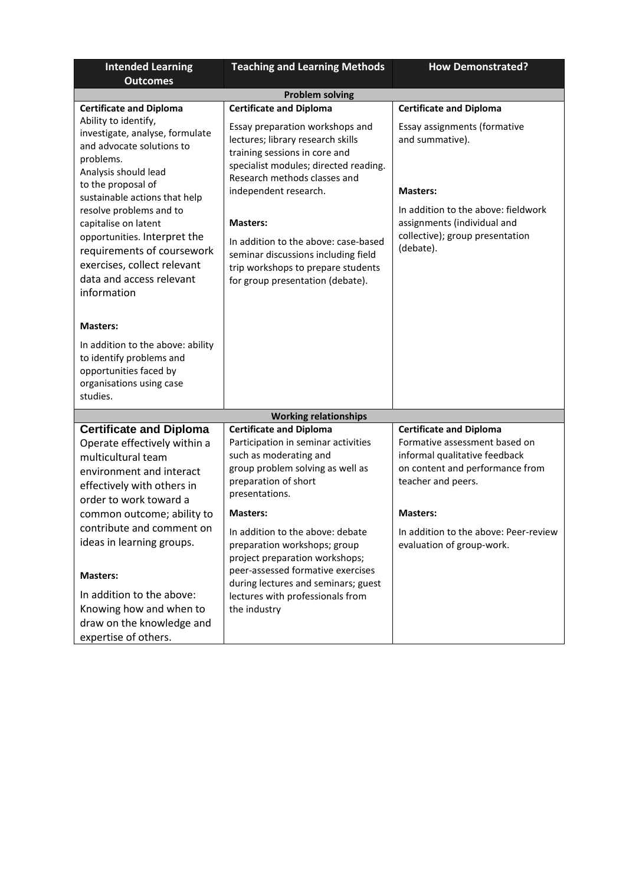| <b>Intended Learning</b>                                                                                                                                                                                                                                                                                                                                                                                      | <b>Teaching and Learning Methods</b>                                                                                                                                                                                                                                                                                                                                                                                                   | <b>How Demonstrated?</b>                                                                                                                                                                                                                           |  |
|---------------------------------------------------------------------------------------------------------------------------------------------------------------------------------------------------------------------------------------------------------------------------------------------------------------------------------------------------------------------------------------------------------------|----------------------------------------------------------------------------------------------------------------------------------------------------------------------------------------------------------------------------------------------------------------------------------------------------------------------------------------------------------------------------------------------------------------------------------------|----------------------------------------------------------------------------------------------------------------------------------------------------------------------------------------------------------------------------------------------------|--|
| <b>Outcomes</b>                                                                                                                                                                                                                                                                                                                                                                                               |                                                                                                                                                                                                                                                                                                                                                                                                                                        |                                                                                                                                                                                                                                                    |  |
| <b>Problem solving</b>                                                                                                                                                                                                                                                                                                                                                                                        |                                                                                                                                                                                                                                                                                                                                                                                                                                        |                                                                                                                                                                                                                                                    |  |
| <b>Certificate and Diploma</b><br>Ability to identify,<br>investigate, analyse, formulate<br>and advocate solutions to<br>problems.<br>Analysis should lead<br>to the proposal of<br>sustainable actions that help<br>resolve problems and to<br>capitalise on latent<br>opportunities. Interpret the<br>requirements of coursework<br>exercises, collect relevant<br>data and access relevant<br>information | <b>Certificate and Diploma</b><br>Essay preparation workshops and<br>lectures; library research skills<br>training sessions in core and<br>specialist modules; directed reading.<br>Research methods classes and<br>independent research.<br><b>Masters:</b><br>In addition to the above: case-based<br>seminar discussions including field<br>trip workshops to prepare students<br>for group presentation (debate).                  | <b>Certificate and Diploma</b><br>Essay assignments (formative<br>and summative).<br><b>Masters:</b><br>In addition to the above: fieldwork<br>assignments (individual and<br>collective); group presentation<br>(debate).                         |  |
| <b>Masters:</b><br>In addition to the above: ability<br>to identify problems and<br>opportunities faced by<br>organisations using case<br>studies.                                                                                                                                                                                                                                                            |                                                                                                                                                                                                                                                                                                                                                                                                                                        |                                                                                                                                                                                                                                                    |  |
|                                                                                                                                                                                                                                                                                                                                                                                                               | <b>Working relationships</b>                                                                                                                                                                                                                                                                                                                                                                                                           |                                                                                                                                                                                                                                                    |  |
| <b>Certificate and Diploma</b><br>Operate effectively within a<br>multicultural team<br>environment and interact<br>effectively with others in<br>order to work toward a<br>common outcome; ability to<br>contribute and comment on<br>ideas in learning groups.<br><b>Masters:</b><br>In addition to the above:<br>Knowing how and when to<br>draw on the knowledge and<br>expertise of others.              | <b>Certificate and Diploma</b><br>Participation in seminar activities<br>such as moderating and<br>group problem solving as well as<br>preparation of short<br>presentations.<br><b>Masters:</b><br>In addition to the above: debate<br>preparation workshops; group<br>project preparation workshops;<br>peer-assessed formative exercises<br>during lectures and seminars; guest<br>lectures with professionals from<br>the industry | <b>Certificate and Diploma</b><br>Formative assessment based on<br>informal qualitative feedback<br>on content and performance from<br>teacher and peers.<br><b>Masters:</b><br>In addition to the above: Peer-review<br>evaluation of group-work. |  |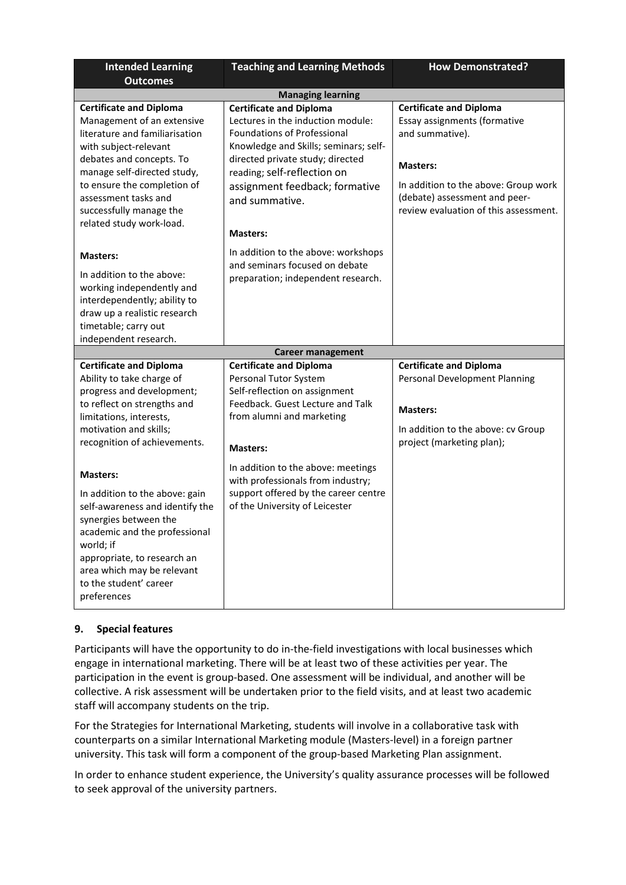| <b>Intended Learning</b>                                                                                                                                                                                                                                                                         | <b>Teaching and Learning Methods</b>                                                                                                                                                                                                                                                         | <b>How Demonstrated?</b>                                                                                                                                                                                               |  |
|--------------------------------------------------------------------------------------------------------------------------------------------------------------------------------------------------------------------------------------------------------------------------------------------------|----------------------------------------------------------------------------------------------------------------------------------------------------------------------------------------------------------------------------------------------------------------------------------------------|------------------------------------------------------------------------------------------------------------------------------------------------------------------------------------------------------------------------|--|
| <b>Outcomes</b>                                                                                                                                                                                                                                                                                  |                                                                                                                                                                                                                                                                                              |                                                                                                                                                                                                                        |  |
| <b>Managing learning</b>                                                                                                                                                                                                                                                                         |                                                                                                                                                                                                                                                                                              |                                                                                                                                                                                                                        |  |
| <b>Certificate and Diploma</b><br>Management of an extensive<br>literature and familiarisation<br>with subject-relevant<br>debates and concepts. To<br>manage self-directed study,<br>to ensure the completion of<br>assessment tasks and<br>successfully manage the<br>related study work-load. | <b>Certificate and Diploma</b><br>Lectures in the induction module:<br><b>Foundations of Professional</b><br>Knowledge and Skills; seminars; self-<br>directed private study; directed<br>reading; self-reflection on<br>assignment feedback; formative<br>and summative.<br><b>Masters:</b> | <b>Certificate and Diploma</b><br>Essay assignments (formative<br>and summative).<br><b>Masters:</b><br>In addition to the above: Group work<br>(debate) assessment and peer-<br>review evaluation of this assessment. |  |
| <b>Masters:</b><br>In addition to the above:<br>working independently and<br>interdependently; ability to<br>draw up a realistic research<br>timetable; carry out<br>independent research.                                                                                                       | In addition to the above: workshops<br>and seminars focused on debate<br>preparation; independent research.                                                                                                                                                                                  |                                                                                                                                                                                                                        |  |
|                                                                                                                                                                                                                                                                                                  | <b>Career management</b>                                                                                                                                                                                                                                                                     |                                                                                                                                                                                                                        |  |
| <b>Certificate and Diploma</b><br>Ability to take charge of<br>progress and development;<br>to reflect on strengths and<br>limitations, interests,<br>motivation and skills;<br>recognition of achievements.                                                                                     | <b>Certificate and Diploma</b><br>Personal Tutor System<br>Self-reflection on assignment<br>Feedback. Guest Lecture and Talk<br>from alumni and marketing<br><b>Masters:</b>                                                                                                                 | <b>Certificate and Diploma</b><br>Personal Development Planning<br><b>Masters:</b><br>In addition to the above: cv Group<br>project (marketing plan);                                                                  |  |
| <b>Masters:</b><br>In addition to the above: gain<br>self-awareness and identify the<br>synergies between the<br>academic and the professional<br>world; if<br>appropriate, to research an<br>area which may be relevant<br>to the student' career<br>preferences                                | In addition to the above: meetings<br>with professionals from industry;<br>support offered by the career centre<br>of the University of Leicester                                                                                                                                            |                                                                                                                                                                                                                        |  |

# **9. Special features**

Participants will have the opportunity to do in-the-field investigations with local businesses which engage in international marketing. There will be at least two of these activities per year. The participation in the event is group-based. One assessment will be individual, and another will be collective. A risk assessment will be undertaken prior to the field visits, and at least two academic staff will accompany students on the trip.

For the Strategies for International Marketing, students will involve in a collaborative task with counterparts on a similar International Marketing module (Masters-level) in a foreign partner university. This task will form a component of the group-based Marketing Plan assignment.

In order to enhance student experience, the University's quality assurance processes will be followed to seek approval of the university partners.